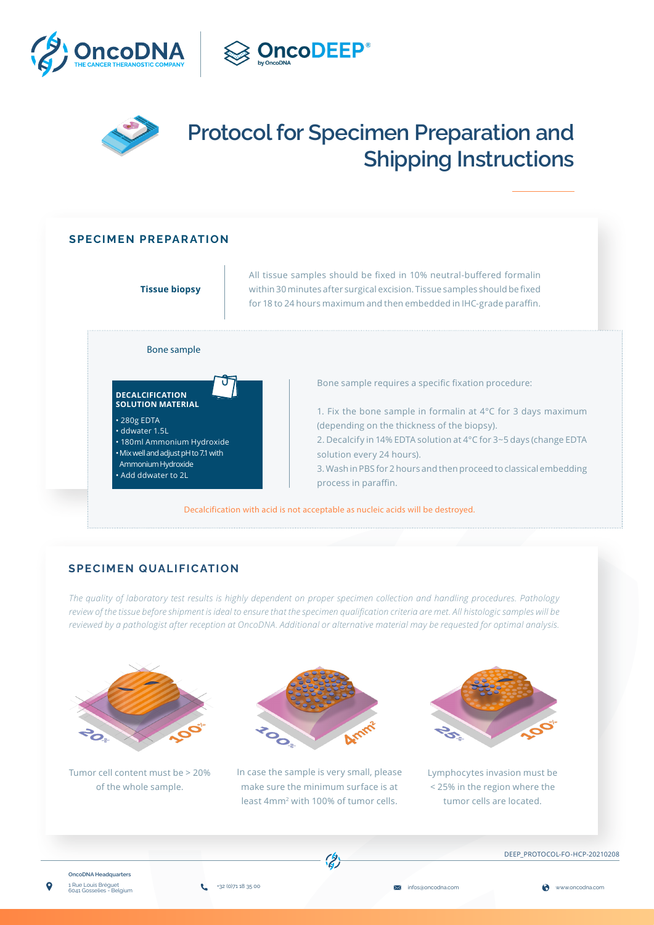



# **Protocol for Specimen Preparation and Shipping Instructions**

## **SPECIMEN PREPARATION**



## **SPECIMEN QUALIFICATION**

*The quality of laboratory test results is highly dependent on proper specimen collection and handling procedures. Pathology review of the tissue before shipment is ideal to ensure that the specimen qualification criteria are met. All histologic samples will be reviewed by a pathologist after reception at OncoDNA. Additional or alternative material may be requested for optimal analysis.*



Tumor cell content must be > 20% of the whole sample.



In case the sample is very small, please make sure the minimum surface is at least 4mm2 with 100% of tumor cells.



Lymphocytes invasion must be < 25% in the region where the tumor cells are located.



DEEP\_PROTOCOL-FO-HCP-20210208